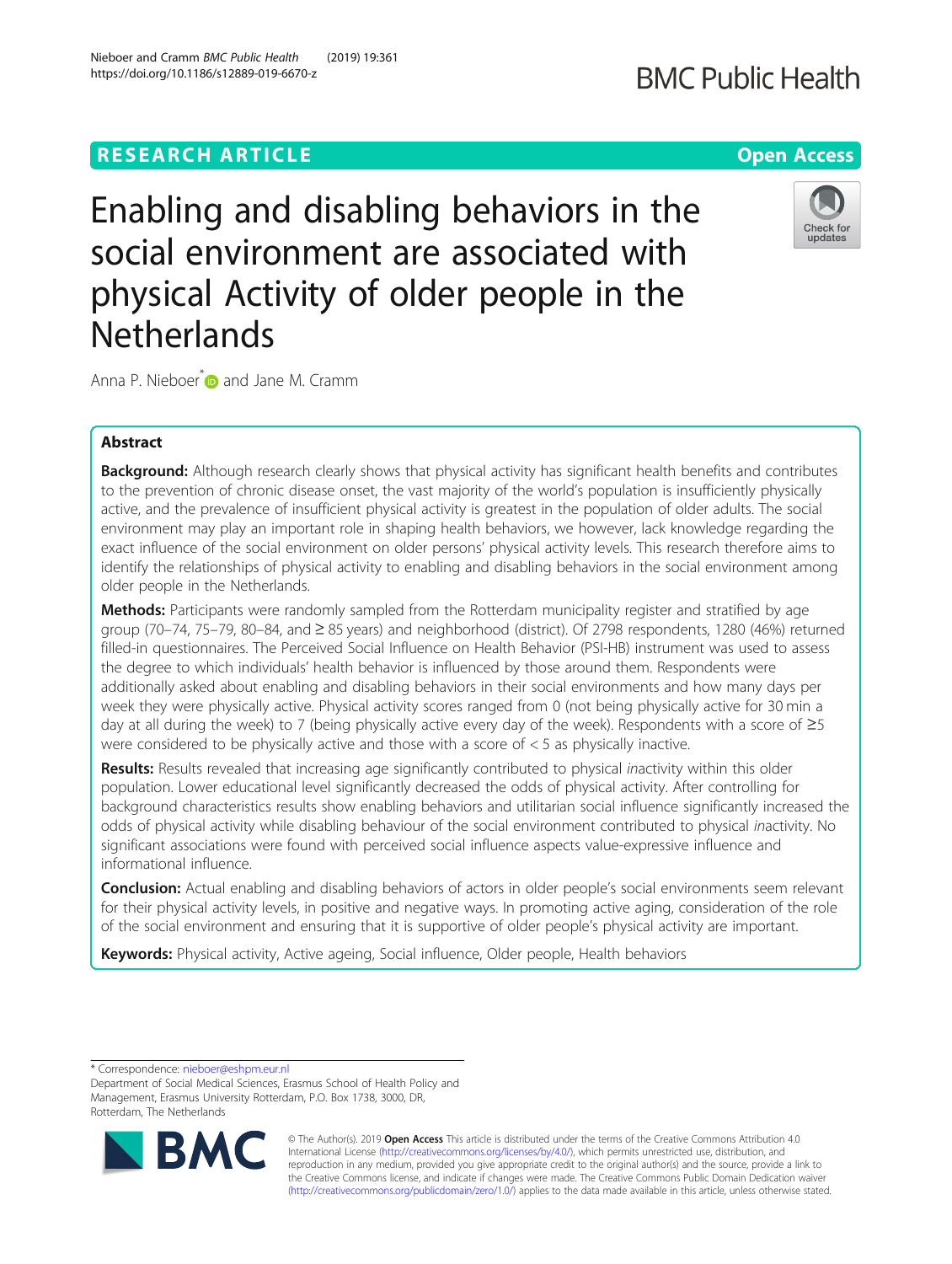# **RESEARCH ARTICLE Example 2014 12:30 The Contract of Contract ACCESS**

https://doi.org/10.1186/s12889-019-6670-z

Nieboer and Cramm BMC Public Health (2019) 19:361

# Enabling and disabling behaviors in the social environment are associated with physical Activity of older people in the **Netherlands**

Anna P. Nieboer<sup>\*</sup> and Jane M. Cramm

# Abstract

Background: Although research clearly shows that physical activity has significant health benefits and contributes to the prevention of chronic disease onset, the vast majority of the world's population is insufficiently physically active, and the prevalence of insufficient physical activity is greatest in the population of older adults. The social environment may play an important role in shaping health behaviors, we however, lack knowledge regarding the exact influence of the social environment on older persons' physical activity levels. This research therefore aims to identify the relationships of physical activity to enabling and disabling behaviors in the social environment among older people in the Netherlands.

**Methods:** Participants were randomly sampled from the Rotterdam municipality register and stratified by age group (70–74, 75–79, 80–84, and ≥ 85 years) and neighborhood (district). Of 2798 respondents, 1280 (46%) returned filled-in questionnaires. The Perceived Social Influence on Health Behavior (PSI-HB) instrument was used to assess the degree to which individuals' health behavior is influenced by those around them. Respondents were additionally asked about enabling and disabling behaviors in their social environments and how many days per week they were physically active. Physical activity scores ranged from 0 (not being physically active for 30 min a day at all during the week) to 7 (being physically active every day of the week). Respondents with a score of ≥5 were considered to be physically active and those with a score of  $<$  5 as physically inactive.

Results: Results revealed that increasing age significantly contributed to physical inactivity within this older population. Lower educational level significantly decreased the odds of physical activity. After controlling for background characteristics results show enabling behaviors and utilitarian social influence significantly increased the odds of physical activity while disabling behaviour of the social environment contributed to physical inactivity. No significant associations were found with perceived social influence aspects value-expressive influence and informational influence.

**Conclusion:** Actual enabling and disabling behaviors of actors in older people's social environments seem relevant for their physical activity levels, in positive and negative ways. In promoting active aging, consideration of the role of the social environment and ensuring that it is supportive of older people's physical activity are important.

Keywords: Physical activity, Active ageing, Social influence, Older people, Health behaviors

\* Correspondence: [nieboer@eshpm.eur.nl](mailto:nieboer@eshpm.eur.nl)

Department of Social Medical Sciences, Erasmus School of Health Policy and Management, Erasmus University Rotterdam, P.O. Box 1738, 3000, DR, Rotterdam, The Netherlands









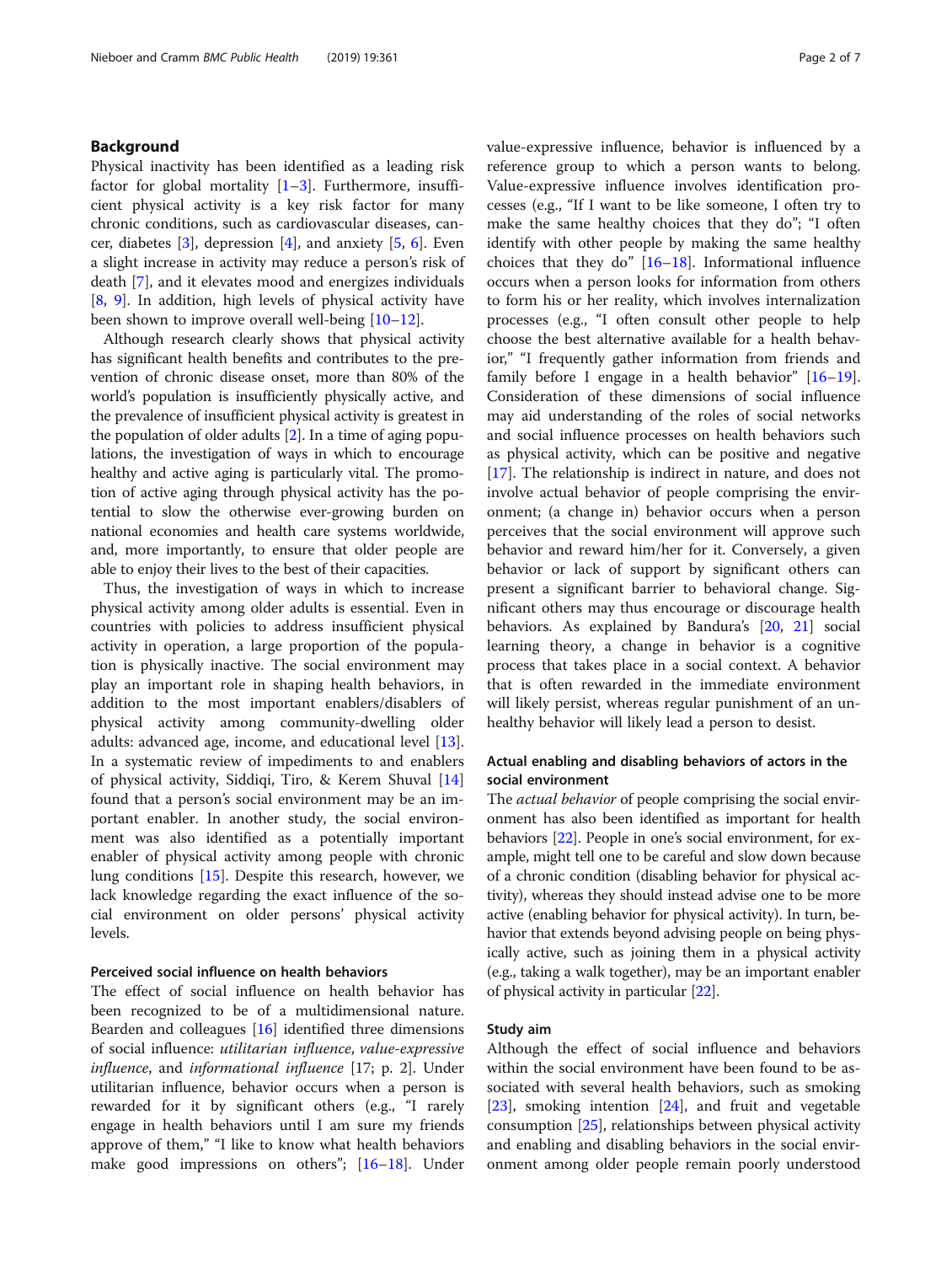# Background

Physical inactivity has been identified as a leading risk factor for global mortality  $[1-3]$  $[1-3]$  $[1-3]$  $[1-3]$ . Furthermore, insufficient physical activity is a key risk factor for many chronic conditions, such as cardiovascular diseases, cancer, diabetes  $[3]$  $[3]$ , depression  $[4]$  $[4]$ , and anxiety  $[5, 6]$  $[5, 6]$  $[5, 6]$ . Even a slight increase in activity may reduce a person's risk of death [\[7](#page-6-0)], and it elevates mood and energizes individuals [[8,](#page-6-0) [9](#page-6-0)]. In addition, high levels of physical activity have been shown to improve overall well-being [[10](#page-6-0)–[12](#page-6-0)].

Although research clearly shows that physical activity has significant health benefits and contributes to the prevention of chronic disease onset, more than 80% of the world's population is insufficiently physically active, and the prevalence of insufficient physical activity is greatest in the population of older adults [\[2\]](#page-5-0). In a time of aging populations, the investigation of ways in which to encourage healthy and active aging is particularly vital. The promotion of active aging through physical activity has the potential to slow the otherwise ever-growing burden on national economies and health care systems worldwide, and, more importantly, to ensure that older people are able to enjoy their lives to the best of their capacities.

Thus, the investigation of ways in which to increase physical activity among older adults is essential. Even in countries with policies to address insufficient physical activity in operation, a large proportion of the population is physically inactive. The social environment may play an important role in shaping health behaviors, in addition to the most important enablers/disablers of physical activity among community-dwelling older adults: advanced age, income, and educational level [\[13](#page-6-0)]. In a systematic review of impediments to and enablers of physical activity, Siddiqi, Tiro, & Kerem Shuval [[14](#page-6-0)] found that a person's social environment may be an important enabler. In another study, the social environment was also identified as a potentially important enabler of physical activity among people with chronic lung conditions [\[15\]](#page-6-0). Despite this research, however, we lack knowledge regarding the exact influence of the social environment on older persons' physical activity levels.

#### Perceived social influence on health behaviors

The effect of social influence on health behavior has been recognized to be of a multidimensional nature. Bearden and colleagues [[16\]](#page-6-0) identified three dimensions of social influence: utilitarian influence, value-expressive influence, and informational influence [17; p. 2]. Under utilitarian influence, behavior occurs when a person is rewarded for it by significant others (e.g., "I rarely engage in health behaviors until I am sure my friends approve of them," "I like to know what health behaviors make good impressions on others"; [[16](#page-6-0)–[18](#page-6-0)]. Under value-expressive influence, behavior is influenced by a reference group to which a person wants to belong. Value-expressive influence involves identification processes (e.g., "If I want to be like someone, I often try to make the same healthy choices that they do"; "I often identify with other people by making the same healthy choices that they do" [[16](#page-6-0)–[18](#page-6-0)]. Informational influence occurs when a person looks for information from others to form his or her reality, which involves internalization processes (e.g., "I often consult other people to help choose the best alternative available for a health behavior," "I frequently gather information from friends and family before I engage in a health behavior" [[16](#page-6-0)–[19](#page-6-0)]. Consideration of these dimensions of social influence may aid understanding of the roles of social networks and social influence processes on health behaviors such as physical activity, which can be positive and negative [[17\]](#page-6-0). The relationship is indirect in nature, and does not involve actual behavior of people comprising the environment; (a change in) behavior occurs when a person perceives that the social environment will approve such behavior and reward him/her for it. Conversely, a given behavior or lack of support by significant others can present a significant barrier to behavioral change. Significant others may thus encourage or discourage health behaviors. As explained by Bandura's [\[20](#page-6-0), [21](#page-6-0)] social learning theory, a change in behavior is a cognitive process that takes place in a social context. A behavior that is often rewarded in the immediate environment will likely persist, whereas regular punishment of an unhealthy behavior will likely lead a person to desist.

# Actual enabling and disabling behaviors of actors in the social environment

The *actual behavior* of people comprising the social environment has also been identified as important for health behaviors [[22](#page-6-0)]. People in one's social environment, for example, might tell one to be careful and slow down because of a chronic condition (disabling behavior for physical activity), whereas they should instead advise one to be more active (enabling behavior for physical activity). In turn, behavior that extends beyond advising people on being physically active, such as joining them in a physical activity (e.g., taking a walk together), may be an important enabler of physical activity in particular [\[22](#page-6-0)].

# Study aim

Although the effect of social influence and behaviors within the social environment have been found to be associated with several health behaviors, such as smoking [[23\]](#page-6-0), smoking intention [\[24](#page-6-0)], and fruit and vegetable consumption [\[25](#page-6-0)], relationships between physical activity and enabling and disabling behaviors in the social environment among older people remain poorly understood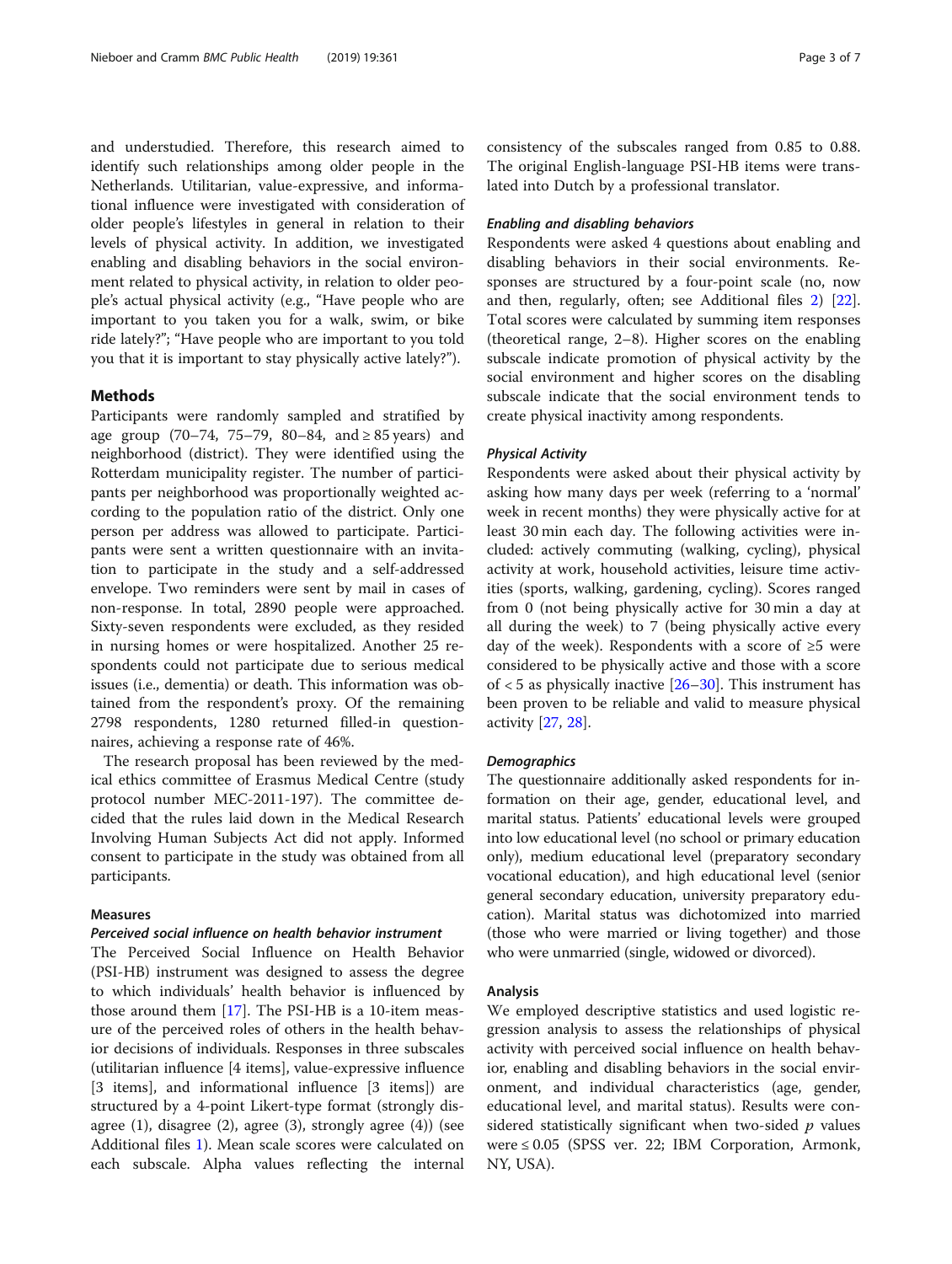and understudied. Therefore, this research aimed to identify such relationships among older people in the Netherlands. Utilitarian, value-expressive, and informational influence were investigated with consideration of older people's lifestyles in general in relation to their levels of physical activity. In addition, we investigated enabling and disabling behaviors in the social environment related to physical activity, in relation to older people's actual physical activity (e.g., "Have people who are important to you taken you for a walk, swim, or bike ride lately?"; "Have people who are important to you told you that it is important to stay physically active lately?").

# Methods

Participants were randomly sampled and stratified by age group (70–74, 75–79, 80–84, and ≥ 85 years) and neighborhood (district). They were identified using the Rotterdam municipality register. The number of participants per neighborhood was proportionally weighted according to the population ratio of the district. Only one person per address was allowed to participate. Participants were sent a written questionnaire with an invitation to participate in the study and a self-addressed envelope. Two reminders were sent by mail in cases of non-response. In total, 2890 people were approached. Sixty-seven respondents were excluded, as they resided in nursing homes or were hospitalized. Another 25 respondents could not participate due to serious medical issues (i.e., dementia) or death. This information was obtained from the respondent's proxy. Of the remaining 2798 respondents, 1280 returned filled-in questionnaires, achieving a response rate of 46%.

The research proposal has been reviewed by the medical ethics committee of Erasmus Medical Centre (study protocol number MEC-2011-197). The committee decided that the rules laid down in the Medical Research Involving Human Subjects Act did not apply. Informed consent to participate in the study was obtained from all participants.

# Measures

# Perceived social influence on health behavior instrument

The Perceived Social Influence on Health Behavior (PSI-HB) instrument was designed to assess the degree to which individuals' health behavior is influenced by those around them  $[17]$  $[17]$ . The PSI-HB is a 10-item measure of the perceived roles of others in the health behavior decisions of individuals. Responses in three subscales (utilitarian influence [4 items], value-expressive influence [3 items], and informational influence [3 items]) are structured by a 4-point Likert-type format (strongly disagree (1), disagree (2), agree (3), strongly agree (4)) (see Additional files [1](#page-5-0)). Mean scale scores were calculated on each subscale. Alpha values reflecting the internal consistency of the subscales ranged from 0.85 to 0.88. The original English-language PSI-HB items were translated into Dutch by a professional translator.

# Enabling and disabling behaviors

Respondents were asked 4 questions about enabling and disabling behaviors in their social environments. Responses are structured by a four-point scale (no, now and then, regularly, often; see Additional files [2](#page-5-0)) [\[22](#page-6-0)]. Total scores were calculated by summing item responses (theoretical range, 2–8). Higher scores on the enabling subscale indicate promotion of physical activity by the social environment and higher scores on the disabling subscale indicate that the social environment tends to create physical inactivity among respondents.

#### Physical Activity

Respondents were asked about their physical activity by asking how many days per week (referring to a 'normal' week in recent months) they were physically active for at least 30 min each day. The following activities were included: actively commuting (walking, cycling), physical activity at work, household activities, leisure time activities (sports, walking, gardening, cycling). Scores ranged from 0 (not being physically active for 30 min a day at all during the week) to 7 (being physically active every day of the week). Respondents with a score of ≥5 were considered to be physically active and those with a score of  $<$  5 as physically inactive  $[26-30]$  $[26-30]$  $[26-30]$ . This instrument has been proven to be reliable and valid to measure physical activity [[27,](#page-6-0) [28\]](#page-6-0).

#### **Demographics**

The questionnaire additionally asked respondents for information on their age, gender, educational level, and marital status. Patients' educational levels were grouped into low educational level (no school or primary education only), medium educational level (preparatory secondary vocational education), and high educational level (senior general secondary education, university preparatory education). Marital status was dichotomized into married (those who were married or living together) and those who were unmarried (single, widowed or divorced).

## Analysis

We employed descriptive statistics and used logistic regression analysis to assess the relationships of physical activity with perceived social influence on health behavior, enabling and disabling behaviors in the social environment, and individual characteristics (age, gender, educational level, and marital status). Results were considered statistically significant when two-sided  $p$  values were  $\leq 0.05$  (SPSS ver. 22; IBM Corporation, Armonk, NY, USA).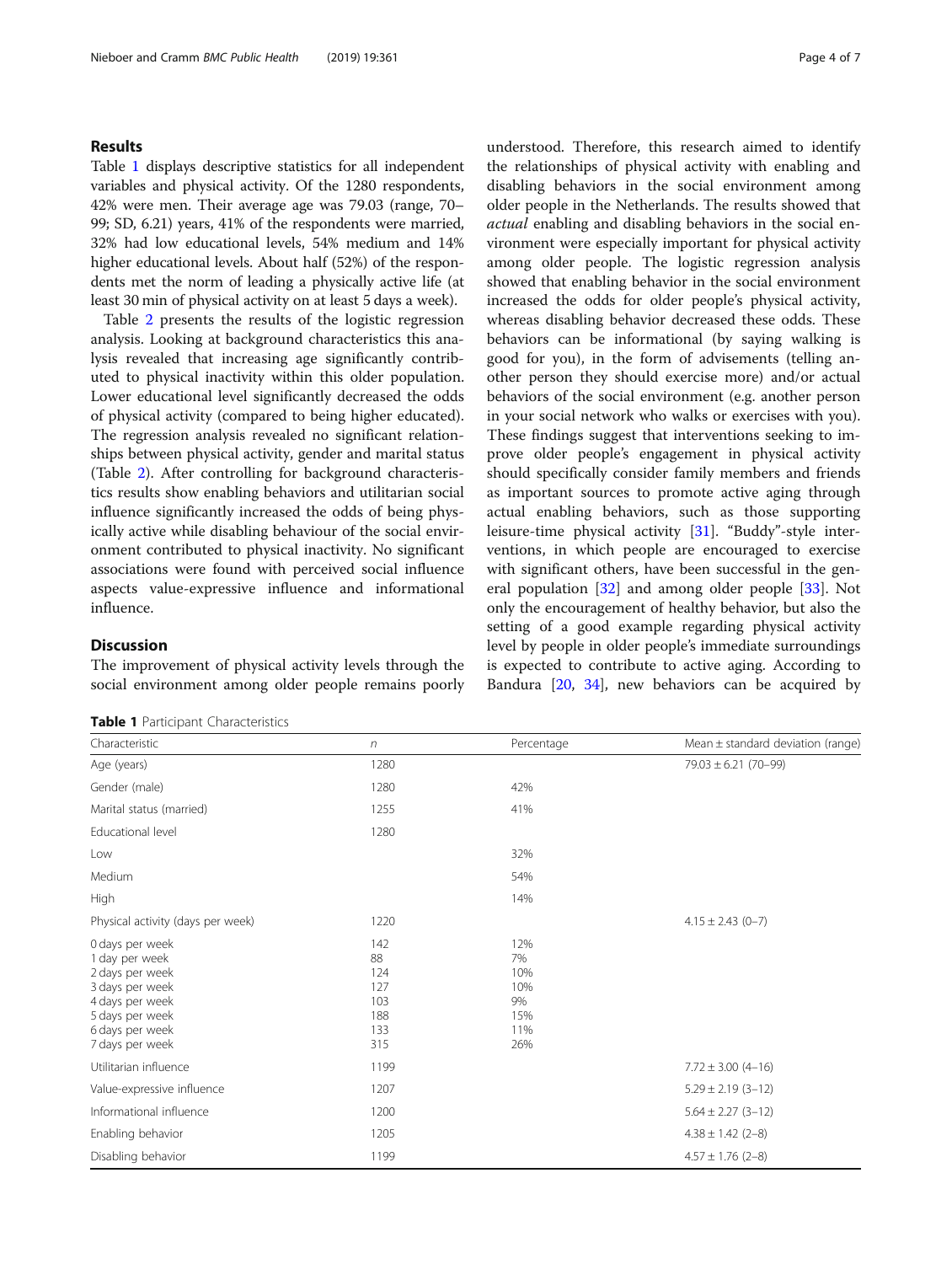## Results

Table 1 displays descriptive statistics for all independent variables and physical activity. Of the 1280 respondents, 42% were men. Their average age was 79.03 (range, 70– 99; SD, 6.21) years, 41% of the respondents were married, 32% had low educational levels, 54% medium and 14% higher educational levels. About half (52%) of the respondents met the norm of leading a physically active life (at least 30 min of physical activity on at least 5 days a week).

Table [2](#page-4-0) presents the results of the logistic regression analysis. Looking at background characteristics this analysis revealed that increasing age significantly contributed to physical inactivity within this older population. Lower educational level significantly decreased the odds of physical activity (compared to being higher educated). The regression analysis revealed no significant relationships between physical activity, gender and marital status (Table [2](#page-4-0)). After controlling for background characteristics results show enabling behaviors and utilitarian social influence significantly increased the odds of being physically active while disabling behaviour of the social environment contributed to physical inactivity. No significant associations were found with perceived social influence aspects value-expressive influence and informational influence.

# **Discussion**

The improvement of physical activity levels through the social environment among older people remains poorly

|  |  | Table 1 Participant Characteristics |
|--|--|-------------------------------------|
|--|--|-------------------------------------|

understood. Therefore, this research aimed to identify the relationships of physical activity with enabling and disabling behaviors in the social environment among older people in the Netherlands. The results showed that actual enabling and disabling behaviors in the social environment were especially important for physical activity among older people. The logistic regression analysis showed that enabling behavior in the social environment increased the odds for older people's physical activity, whereas disabling behavior decreased these odds. These behaviors can be informational (by saying walking is good for you), in the form of advisements (telling another person they should exercise more) and/or actual behaviors of the social environment (e.g. another person in your social network who walks or exercises with you). These findings suggest that interventions seeking to improve older people's engagement in physical activity should specifically consider family members and friends as important sources to promote active aging through actual enabling behaviors, such as those supporting leisure-time physical activity [[31\]](#page-6-0). "Buddy"-style interventions, in which people are encouraged to exercise with significant others, have been successful in the general population [\[32](#page-6-0)] and among older people [\[33](#page-6-0)]. Not only the encouragement of healthy behavior, but also the setting of a good example regarding physical activity level by people in older people's immediate surroundings is expected to contribute to active aging. According to Bandura  $[20, 34]$  $[20, 34]$  $[20, 34]$  $[20, 34]$  $[20, 34]$ , new behaviors can be acquired by

| Characteristic                                                                                                                                      | n                                                   | Percentage                                         | Mean ± standard deviation (range) |
|-----------------------------------------------------------------------------------------------------------------------------------------------------|-----------------------------------------------------|----------------------------------------------------|-----------------------------------|
| Age (years)                                                                                                                                         | 1280                                                |                                                    | $79.03 \pm 6.21 (70 - 99)$        |
| Gender (male)                                                                                                                                       | 1280                                                | 42%                                                |                                   |
| Marital status (married)                                                                                                                            | 1255                                                | 41%                                                |                                   |
| Educational level                                                                                                                                   | 1280                                                |                                                    |                                   |
| Low                                                                                                                                                 |                                                     | 32%                                                |                                   |
| Medium                                                                                                                                              |                                                     | 54%                                                |                                   |
| High                                                                                                                                                |                                                     | 14%                                                |                                   |
| Physical activity (days per week)                                                                                                                   | 1220                                                |                                                    | $4.15 \pm 2.43$ (0-7)             |
| 0 days per week<br>1 day per week<br>2 days per week<br>3 days per week<br>4 days per week<br>5 days per week<br>6 days per week<br>7 days per week | 142<br>88<br>124<br>127<br>103<br>188<br>133<br>315 | 12%<br>7%<br>10%<br>10%<br>9%<br>15%<br>11%<br>26% |                                   |
| Utilitarian influence                                                                                                                               | 1199                                                |                                                    | $7.72 \pm 3.00$ (4-16)            |
| Value-expressive influence                                                                                                                          | 1207                                                |                                                    | $5.29 \pm 2.19$ (3-12)            |
| Informational influence                                                                                                                             | 1200                                                |                                                    | $5.64 \pm 2.27$ (3-12)            |
| Enabling behavior                                                                                                                                   | 1205                                                |                                                    | $4.38 \pm 1.42$ (2-8)             |
| Disabling behavior                                                                                                                                  | 1199                                                |                                                    | $4.57 \pm 1.76$ (2-8)             |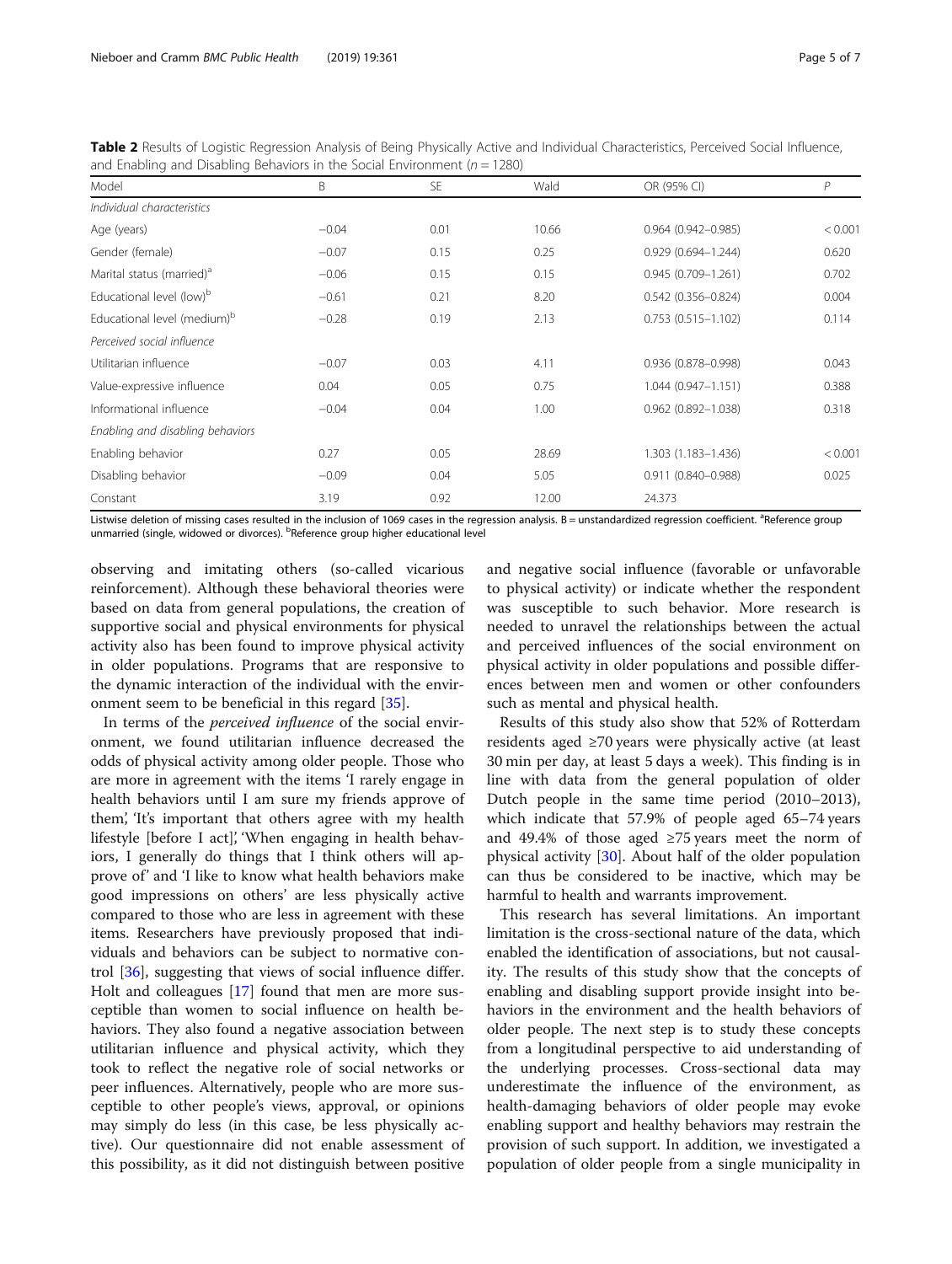<span id="page-4-0"></span>Table 2 Results of Logistic Regression Analysis of Being Physically Active and Individual Characteristics, Perceived Social Influence, and Enabling and Disabling Behaviors in the Social Environment ( $n = 1280$ )

| Model                                   | B       | <b>SE</b> | Wald  | OR (95% CI)            | $\mathcal P$ |
|-----------------------------------------|---------|-----------|-------|------------------------|--------------|
| Individual characteristics              |         |           |       |                        |              |
| Age (years)                             | $-0.04$ | 0.01      | 10.66 | $0.964(0.942 - 0.985)$ | < 0.001      |
| Gender (female)                         | $-0.07$ | 0.15      | 0.25  | $0.929(0.694 - 1.244)$ | 0.620        |
| Marital status (married) <sup>a</sup>   | $-0.06$ | 0.15      | 0.15  | $0.945(0.709 - 1.261)$ | 0.702        |
| Educational level (low) <sup>b</sup>    | $-0.61$ | 0.21      | 8.20  | $0.542(0.356 - 0.824)$ | 0.004        |
| Educational level (medium) <sup>b</sup> | $-0.28$ | 0.19      | 2.13  | $0.753(0.515 - 1.102)$ | 0.114        |
| Perceived social influence              |         |           |       |                        |              |
| Utilitarian influence                   | $-0.07$ | 0.03      | 4.11  | 0.936 (0.878-0.998)    | 0.043        |
| Value-expressive influence              | 0.04    | 0.05      | 0.75  | $1.044(0.947 - 1.151)$ | 0.388        |
| Informational influence                 | $-0.04$ | 0.04      | 1.00  | $0.962$ (0.892-1.038)  | 0.318        |
| Enabling and disabling behaviors        |         |           |       |                        |              |
| Enabling behavior                       | 0.27    | 0.05      | 28.69 | 1.303 (1.183-1.436)    | < 0.001      |
| Disabling behavior                      | $-0.09$ | 0.04      | 5.05  | $0.911(0.840 - 0.988)$ | 0.025        |
| Constant                                | 3.19    | 0.92      | 12.00 | 24.373                 |              |

Listwise deletion of missing cases resulted in the inclusion of 1069 cases in the regression analysis. B = unstandardized regression coefficient. <sup>a</sup>Reference group unmarried (single, widowed or divorces). <sup>b</sup>Reference group higher educational level

observing and imitating others (so-called vicarious reinforcement). Although these behavioral theories were based on data from general populations, the creation of supportive social and physical environments for physical activity also has been found to improve physical activity in older populations. Programs that are responsive to the dynamic interaction of the individual with the environment seem to be beneficial in this regard [\[35](#page-6-0)].

In terms of the perceived influence of the social environment, we found utilitarian influence decreased the odds of physical activity among older people. Those who are more in agreement with the items 'I rarely engage in health behaviors until I am sure my friends approve of them', 'It's important that others agree with my health lifestyle [before I act]', 'When engaging in health behaviors, I generally do things that I think others will approve of' and 'I like to know what health behaviors make good impressions on others' are less physically active compared to those who are less in agreement with these items. Researchers have previously proposed that individuals and behaviors can be subject to normative control [[36\]](#page-6-0), suggesting that views of social influence differ. Holt and colleagues [\[17](#page-6-0)] found that men are more susceptible than women to social influence on health behaviors. They also found a negative association between utilitarian influence and physical activity, which they took to reflect the negative role of social networks or peer influences. Alternatively, people who are more susceptible to other people's views, approval, or opinions may simply do less (in this case, be less physically active). Our questionnaire did not enable assessment of this possibility, as it did not distinguish between positive and negative social influence (favorable or unfavorable to physical activity) or indicate whether the respondent was susceptible to such behavior. More research is needed to unravel the relationships between the actual and perceived influences of the social environment on physical activity in older populations and possible differences between men and women or other confounders such as mental and physical health.

Results of this study also show that 52% of Rotterdam residents aged ≥70 years were physically active (at least 30 min per day, at least 5 days a week). This finding is in line with data from the general population of older Dutch people in the same time period (2010–2013), which indicate that 57.9% of people aged 65–74 years and 49.4% of those aged ≥75 years meet the norm of physical activity [\[30](#page-6-0)]. About half of the older population can thus be considered to be inactive, which may be harmful to health and warrants improvement.

This research has several limitations. An important limitation is the cross-sectional nature of the data, which enabled the identification of associations, but not causality. The results of this study show that the concepts of enabling and disabling support provide insight into behaviors in the environment and the health behaviors of older people. The next step is to study these concepts from a longitudinal perspective to aid understanding of the underlying processes. Cross-sectional data may underestimate the influence of the environment, as health-damaging behaviors of older people may evoke enabling support and healthy behaviors may restrain the provision of such support. In addition, we investigated a population of older people from a single municipality in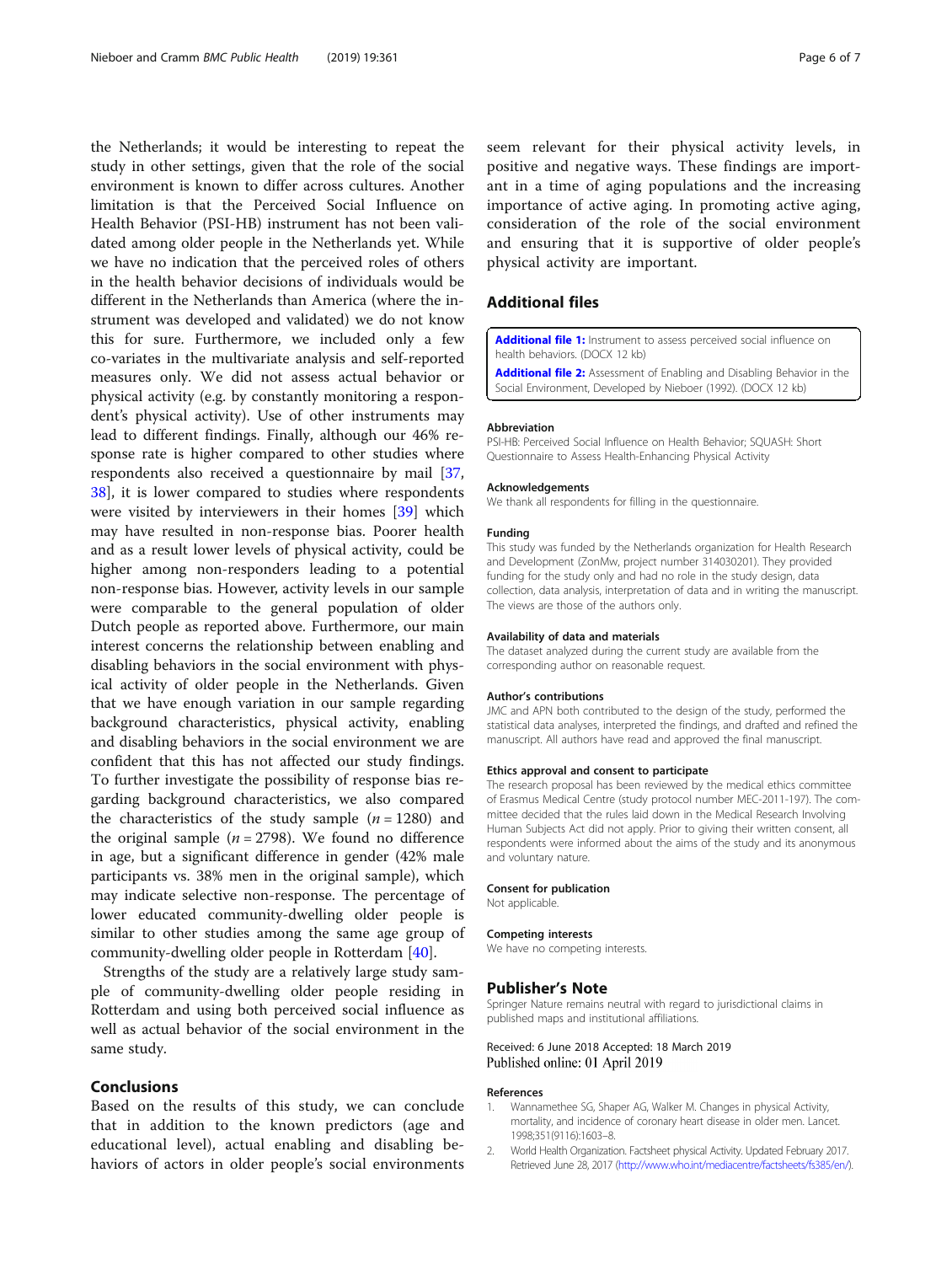<span id="page-5-0"></span>the Netherlands; it would be interesting to repeat the study in other settings, given that the role of the social environment is known to differ across cultures. Another limitation is that the Perceived Social Influence on Health Behavior (PSI-HB) instrument has not been validated among older people in the Netherlands yet. While we have no indication that the perceived roles of others in the health behavior decisions of individuals would be different in the Netherlands than America (where the instrument was developed and validated) we do not know this for sure. Furthermore, we included only a few co-variates in the multivariate analysis and self-reported measures only. We did not assess actual behavior or physical activity (e.g. by constantly monitoring a respondent's physical activity). Use of other instruments may lead to different findings. Finally, although our 46% response rate is higher compared to other studies where respondents also received a questionnaire by mail [[37](#page-6-0), [38\]](#page-6-0), it is lower compared to studies where respondents were visited by interviewers in their homes [[39\]](#page-6-0) which may have resulted in non-response bias. Poorer health and as a result lower levels of physical activity, could be higher among non-responders leading to a potential non-response bias. However, activity levels in our sample were comparable to the general population of older Dutch people as reported above. Furthermore, our main interest concerns the relationship between enabling and disabling behaviors in the social environment with physical activity of older people in the Netherlands. Given that we have enough variation in our sample regarding background characteristics, physical activity, enabling and disabling behaviors in the social environment we are confident that this has not affected our study findings. To further investigate the possibility of response bias regarding background characteristics, we also compared the characteristics of the study sample  $(n = 1280)$  and the original sample ( $n = 2798$ ). We found no difference in age, but a significant difference in gender (42% male participants vs. 38% men in the original sample), which may indicate selective non-response. The percentage of lower educated community-dwelling older people is similar to other studies among the same age group of community-dwelling older people in Rotterdam [\[40](#page-6-0)].

Strengths of the study are a relatively large study sample of community-dwelling older people residing in Rotterdam and using both perceived social influence as well as actual behavior of the social environment in the same study.

# Conclusions

Based on the results of this study, we can conclude that in addition to the known predictors (age and educational level), actual enabling and disabling behaviors of actors in older people's social environments seem relevant for their physical activity levels, in positive and negative ways. These findings are important in a time of aging populations and the increasing importance of active aging. In promoting active aging, consideration of the role of the social environment and ensuring that it is supportive of older people's physical activity are important.

# Additional files

[Additional file 1:](https://doi.org/10.1186/s12889-019-6670-z) Instrument to assess perceived social influence on health behaviors. (DOCX 12 kb)

[Additional file 2:](https://doi.org/10.1186/s12889-019-6670-z) Assessment of Enabling and Disabling Behavior in the Social Environment, Developed by Nieboer (1992). (DOCX 12 kb)

#### Abbreviation

PSI-HB: Perceived Social Influence on Health Behavior; SQUASH: Short Questionnaire to Assess Health-Enhancing Physical Activity

#### Acknowledgements

We thank all respondents for filling in the questionnaire.

#### Funding

This study was funded by the Netherlands organization for Health Research and Development (ZonMw, project number 314030201). They provided funding for the study only and had no role in the study design, data collection, data analysis, interpretation of data and in writing the manuscript. The views are those of the authors only.

#### Availability of data and materials

The dataset analyzed during the current study are available from the corresponding author on reasonable request.

#### Author's contributions

JMC and APN both contributed to the design of the study, performed the statistical data analyses, interpreted the findings, and drafted and refined the manuscript. All authors have read and approved the final manuscript.

#### Ethics approval and consent to participate

The research proposal has been reviewed by the medical ethics committee of Erasmus Medical Centre (study protocol number MEC-2011-197). The committee decided that the rules laid down in the Medical Research Involving Human Subjects Act did not apply. Prior to giving their written consent, all respondents were informed about the aims of the study and its anonymous and voluntary nature.

#### Consent for publication

Not applicable.

#### Competing interests

We have no competing interests.

#### Publisher's Note

Springer Nature remains neutral with regard to jurisdictional claims in published maps and institutional affiliations.

### Received: 6 June 2018 Accepted: 18 March 2019 Published online: 01 April 2019

#### References

- 1. Wannamethee SG, Shaper AG, Walker M. Changes in physical Activity, mortality, and incidence of coronary heart disease in older men. Lancet. 1998;351(9116):1603–8.
- 2. World Health Organization. Factsheet physical Activity. Updated February 2017. Retrieved June 28, 2017 [\(http://www.who.int/mediacentre/factsheets/fs385/en/](http://www.who.int/mediacentre/factsheets/fs385/en/)).